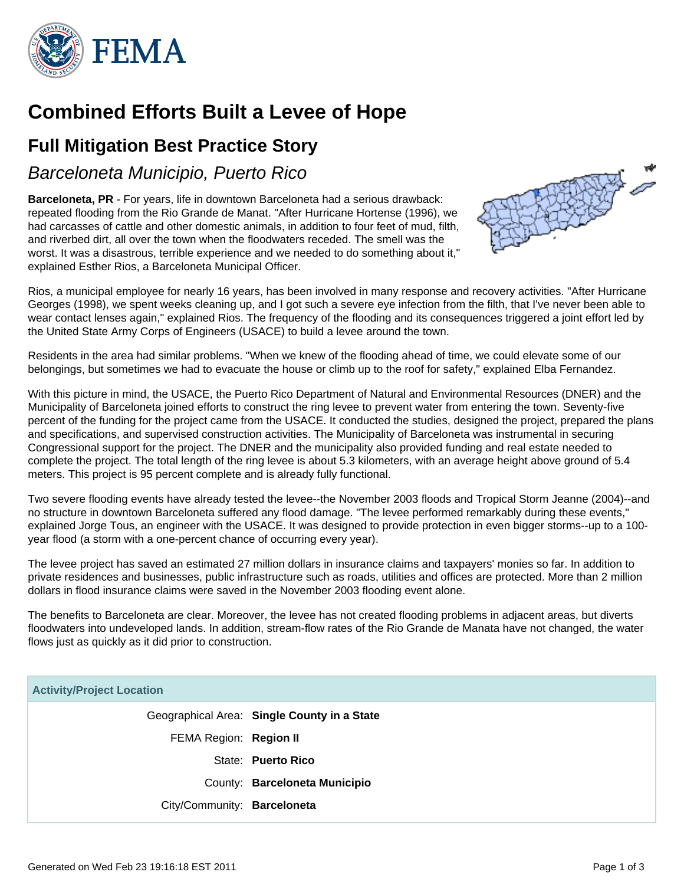

# **Combined Efforts Built a Levee of Hope**

## **Full Mitigation Best Practice Story**

### Barceloneta Municipio, Puerto Rico

**Barceloneta, PR** - For years, life in downtown Barceloneta had a serious drawback: repeated flooding from the Rio Grande de Manat. "After Hurricane Hortense (1996), we had carcasses of cattle and other domestic animals, in addition to four feet of mud, filth, and riverbed dirt, all over the town when the floodwaters receded. The smell was the worst. It was a disastrous, terrible experience and we needed to do something about it," explained Esther Rios, a Barceloneta Municipal Officer.



Rios, a municipal employee for nearly 16 years, has been involved in many response and recovery activities. "After Hurricane Georges (1998), we spent weeks cleaning up, and I got such a severe eye infection from the filth, that I've never been able to wear contact lenses again," explained Rios. The frequency of the flooding and its consequences triggered a joint effort led by the United State Army Corps of Engineers (USACE) to build a levee around the town.

Residents in the area had similar problems. "When we knew of the flooding ahead of time, we could elevate some of our belongings, but sometimes we had to evacuate the house or climb up to the roof for safety," explained Elba Fernandez.

With this picture in mind, the USACE, the Puerto Rico Department of Natural and Environmental Resources (DNER) and the Municipality of Barceloneta joined efforts to construct the ring levee to prevent water from entering the town. Seventy-five percent of the funding for the project came from the USACE. It conducted the studies, designed the project, prepared the plans and specifications, and supervised construction activities. The Municipality of Barceloneta was instrumental in securing Congressional support for the project. The DNER and the municipality also provided funding and real estate needed to complete the project. The total length of the ring levee is about 5.3 kilometers, with an average height above ground of 5.4 meters. This project is 95 percent complete and is already fully functional.

Two severe flooding events have already tested the levee--the November 2003 floods and Tropical Storm Jeanne (2004)--and no structure in downtown Barceloneta suffered any flood damage. "The levee performed remarkably during these events," explained Jorge Tous, an engineer with the USACE. It was designed to provide protection in even bigger storms--up to a 100 year flood (a storm with a one-percent chance of occurring every year).

The levee project has saved an estimated 27 million dollars in insurance claims and taxpayers' monies so far. In addition to private residences and businesses, public infrastructure such as roads, utilities and offices are protected. More than 2 million dollars in flood insurance claims were saved in the November 2003 flooding event alone.

The benefits to Barceloneta are clear. Moreover, the levee has not created flooding problems in adjacent areas, but diverts floodwaters into undeveloped lands. In addition, stream-flow rates of the Rio Grande de Manata have not changed, the water flows just as quickly as it did prior to construction.

#### **Activity/Project Location**

Geographical Area: **Single County in a State** FEMA Region: **Region II** State: **Puerto Rico** County: **Barceloneta Municipio** City/Community: **Barceloneta**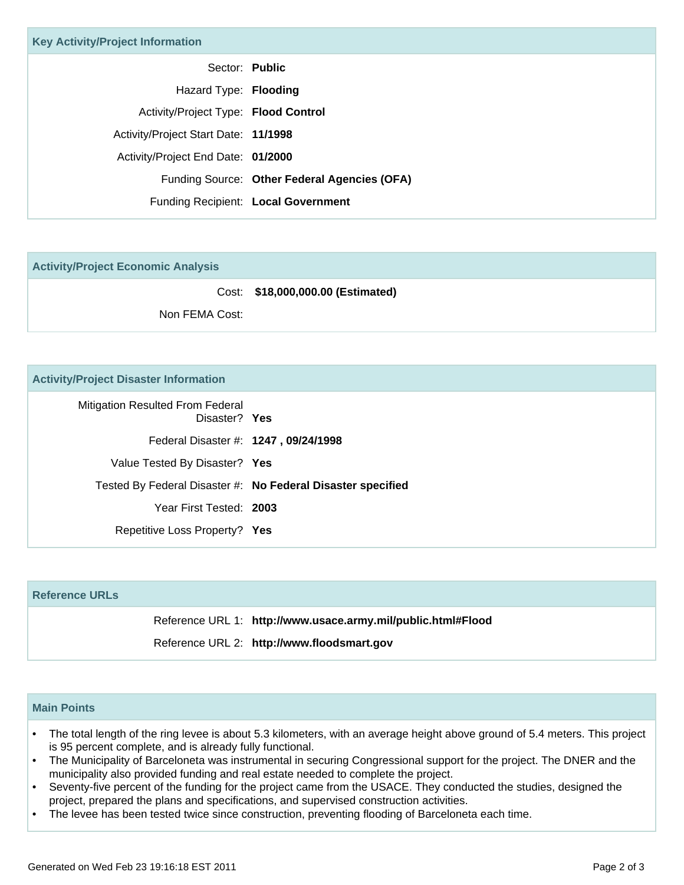| <b>Key Activity/Project Information</b> |                                              |  |
|-----------------------------------------|----------------------------------------------|--|
|                                         | Sector: Public                               |  |
| Hazard Type: Flooding                   |                                              |  |
| Activity/Project Type: Flood Control    |                                              |  |
| Activity/Project Start Date: 11/1998    |                                              |  |
| Activity/Project End Date: 01/2000      |                                              |  |
|                                         | Funding Source: Other Federal Agencies (OFA) |  |
|                                         | Funding Recipient: Local Government          |  |

**Activity/Project Economic Analysis**

Cost: **\$18,000,000.00 (Estimated)** Non FEMA Cost:

#### **Activity/Project Disaster Information**

| <b>Mitigation Resulted From Federal</b><br>Disaster? Yes |                                                             |
|----------------------------------------------------------|-------------------------------------------------------------|
| Federal Disaster #: 1247, 09/24/1998                     |                                                             |
| Value Tested By Disaster? Yes                            |                                                             |
|                                                          | Tested By Federal Disaster #: No Federal Disaster specified |
| Year First Tested: 2003                                  |                                                             |
| Repetitive Loss Property? Yes                            |                                                             |

#### **Reference URLs**

Reference URL 1: **http://www.usace.army.mil/public.html#Flood**

Reference URL 2: **http://www.floodsmart.gov**

#### **Main Points**

- The total length of the ring levee is about 5.3 kilometers, with an average height above ground of 5.4 meters. This project is 95 percent complete, and is already fully functional. •
- The Municipality of Barceloneta was instrumental in securing Congressional support for the project. The DNER and the municipality also provided funding and real estate needed to complete the project.
- Seventy-five percent of the funding for the project came from the USACE. They conducted the studies, designed the project, prepared the plans and specifications, and supervised construction activities. •
- The levee has been tested twice since construction, preventing flooding of Barceloneta each time.